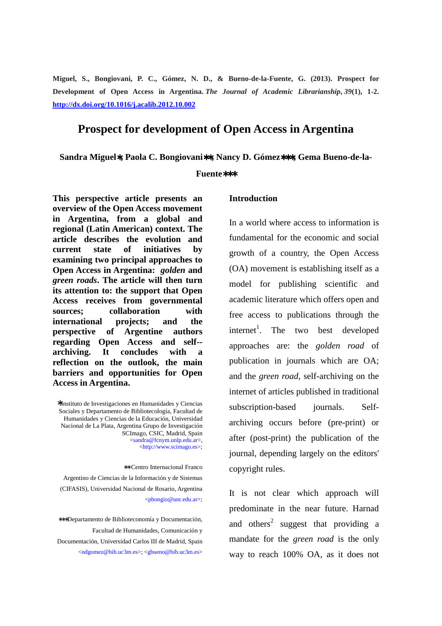**Miguel, S., Bongiovani, P. C., Gómez, N. D., & Bueno-de-la-Fuente, G. (2013). Prospect for Development of Open Access in Argentina.** *The Journal of Academic Librarianship***,** *39***(1), 1-2. http://dx.doi.org/10.1016/j.acalib.2012.10.002**

## **Prospect for development of Open Access in Argentina**

**Sandra Miguel**∗**, Paola C. Bongiovani**∗∗**, Nancy D. Gómez**∗∗∗**, Gema Bueno-de-la-**

#### **Fuente**∗∗∗

**This perspective article presents an overview of the Open Access movement in Argentina, from a global and regional (Latin American) context. The article describes the evolution and current state of initiatives by examining two principal approaches to Open Access in Argentina:** *golden* **and**  *green roads***. The article will then turn its attention to: the support that Open Access receives from governmental sources; collaboration with international projects; and the perspective of Argentine authors regarding Open Access and self- archiving. It concludes with a reflection on the outlook, the main barriers and opportunities for Open Access in Argentina.** 

∗Instituto de Investigaciones en Humanidades y Ciencias Sociales y Departamento de Bibliotecología, Facultad de Humanidades y Ciencias de la Educación, Universidad Nacional de La Plata, Argentina Grupo de Investigación SCImago, CSIC, Madrid, Spain <sandra@fcnym.unlp.edu.ar>, <http://www.scimago.es>;

 ∗∗ Centro Internacional Franco Argentino de Ciencias de la Información y de Sistemas (CIFASIS), Universidad Nacional de Rosario, Argentina <pbongio@unr.edu.ar>;

∗∗∗Departamento de Biblioteconomía y Documentación, Facultad de Humanidades, Comunicación y Documentación, Universidad Carlos III de Madrid, Spain <ndgomez@bib.uc3m.es>; <gbueno@bib.uc3m.es>

### **Introduction**

In a world where access to information is fundamental for the economic and social growth of a country, the Open Access (OA) movement is establishing itself as a model for publishing scientific and academic literature which offers open and free access to publications through the internet<sup>1</sup>. The two best developed approaches are: the *golden road* of publication in journals which are OA; and the *green road*, self-archiving on the internet of articles published in traditional subscription-based journals. Selfarchiving occurs before (pre-print) or after (post-print) the publication of the journal, depending largely on the editors' copyright rules.

It is not clear which approach will predominate in the near future. Harnad and others<sup>2</sup> suggest that providing a mandate for the *green road* is the only way to reach 100% OA, as it does not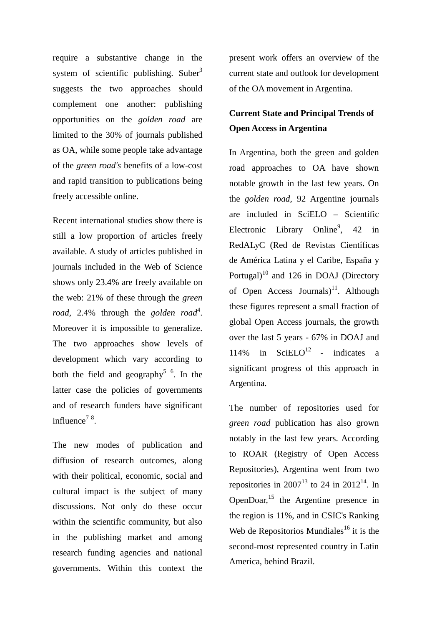require a substantive change in the system of scientific publishing. Suber $3$ suggests the two approaches should complement one another: publishing opportunities on the *golden road* are limited to the 30% of journals published as OA, while some people take advantage of the *green road's* benefits of a low-cost and rapid transition to publications being freely accessible online.

Recent international studies show there is still a low proportion of articles freely available. A study of articles published in journals included in the Web of Science shows only 23.4% are freely available on the web: 21% of these through the *green*  road, 2.4% through the *golden road*<sup>4</sup>. Moreover it is impossible to generalize. The two approaches show levels of development which vary according to both the field and geography<sup>5  $6$ </sup>. In the latter case the policies of governments and of research funders have significant influence<sup> $78$ </sup>.

The new modes of publication and diffusion of research outcomes, along with their political, economic, social and cultural impact is the subject of many discussions. Not only do these occur within the scientific community, but also in the publishing market and among research funding agencies and national governments. Within this context the present work offers an overview of the current state and outlook for development of the OA movement in Argentina.

# **Current State and Principal Trends of Open Access in Argentina**

In Argentina, both the green and golden road approaches to OA have shown notable growth in the last few years. On the *golden road,* 92 Argentine journals are included in SciELO – Scientific Electronic Library Online<sup>9</sup>, 42 in RedALyC (Red de Revistas Científicas de América Latina y el Caribe, España y Portugal)<sup>10</sup> and 126 in DOAJ (Directory of Open Access Journals)<sup>11</sup>. Although these figures represent a small fraction of global Open Access journals, the growth over the last 5 years - 67% in DOAJ and 114% in SciELO<sup>12</sup> - indicates a significant progress of this approach in Argentina.

The number of repositories used for *green road* publication has also grown notably in the last few years. According to ROAR (Registry of Open Access Repositories), Argentina went from two repositories in 2007<sup>13</sup> to 24 in 2012<sup>14</sup>. In OpenDoar,<sup>15</sup> the Argentine presence in the region is 11%, and in CSIC's Ranking Web de Repositorios Mundiales<sup>16</sup> it is the second-most represented country in Latin America, behind Brazil.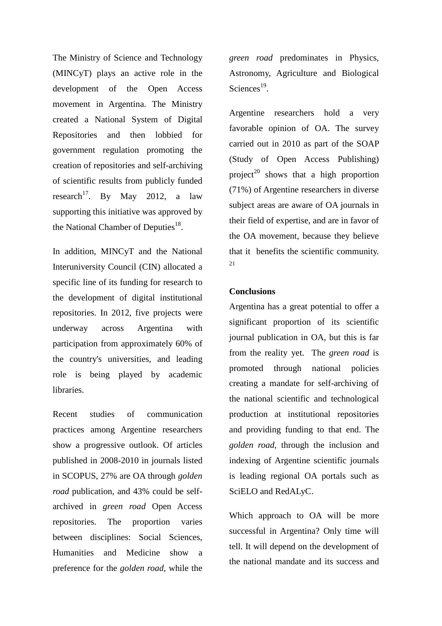The Ministry of Science and Technology (MINCyT) plays an active role in the development of the Open Access movement in Argentina. The Ministry created a National System of Digital Repositories and then lobbied for government regulation promoting the creation of repositories and self-archiving of scientific results from publicly funded research<sup>17</sup>. By May 2012, a law supporting this initiative was approved by the National Chamber of Deputies $^{18}$ .

In addition, MINCyT and the National Interuniversity Council (CIN) allocated a specific line of its funding for research to the development of digital institutional repositories. In 2012, five projects were underway across Argentina with participation from approximately 60% of the country's universities, and leading role is being played by academic **libraries** 

Recent studies of communication practices among Argentine researchers show a progressive outlook. Of articles published in 2008-2010 in journals listed in SCOPUS, 27% are OA through *golden road* publication, and 43% could be selfarchived in *green road* Open Access repositories. The proportion varies between disciplines: Social Sciences, Humanities and Medicine show a preference for the *golden road*, while the *green road* predominates in Physics, Astronomy, Agriculture and Biological Sciences $^{19}$ .

Argentine researchers hold a very favorable opinion of OA. The survey carried out in 2010 as part of the SOAP (Study of Open Access Publishing) project<sup>20</sup> shows that a high proportion (71%) of Argentine researchers in diverse subject areas are aware of OA journals in their field of expertise, and are in favor of the OA movement, because they believe that it benefits the scientific community. 21

### **Conclusions**

Argentina has a great potential to offer a significant proportion of its scientific journal publication in OA, but this is far from the reality yet. The *green road* is promoted through national policies creating a mandate for self-archiving of the national scientific and technological production at institutional repositories and providing funding to that end. The *golden road*, through the inclusion and indexing of Argentine scientific journals is leading regional OA portals such as SciELO and RedALyC.

Which approach to OA will be more successful in Argentina? Only time will tell. It will depend on the development of the national mandate and its success and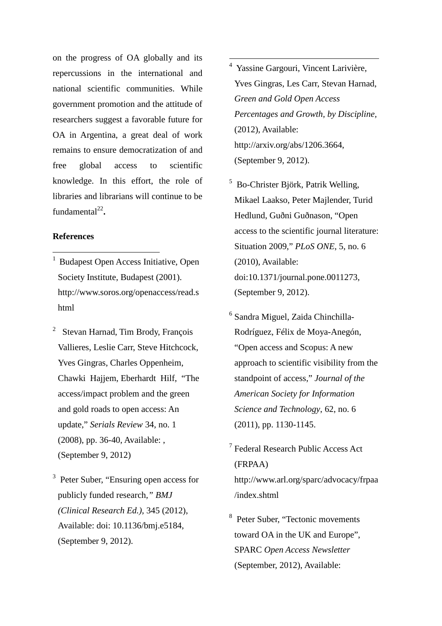on the progress of OA globally and its repercussions in the international and national scientific communities. While government promotion and the attitude of researchers suggest a favorable future for OA in Argentina, a great deal of work remains to ensure democratization of and free global access to scientific knowledge. In this effort, the role of libraries and librarians will continue to be  $fundamental<sup>22</sup>$ .

## **References**

 $\overline{a}$ 

- <sup>1</sup>Budapest Open Access Initiative, Open Society Institute, Budapest (2001). http://www.soros.org/openaccess/read.s html
- 2 Stevan Harnad, Tim Brody, François Vallieres, Leslie Carr, Steve Hitchcock, Yves Gingras, Charles Oppenheim, Chawki Hajjem, Eberhardt Hilf, "The access/impact problem and the green and gold roads to open access: An update," *Serials Review* 34, no. 1 (2008), pp. 36-40, Available: , (September 9, 2012)
- <sup>3</sup> Peter Suber, "Ensuring open access for publicly funded research*," BMJ (Clinical Research Ed.)*, 345 (2012), Available: doi: 10.1136/bmj.e5184, (September 9, 2012).
- 4 Yassine Gargouri, Vincent Larivière, Yves Gingras, Les Carr, Stevan Harnad, *Green and Gold Open Access Percentages and Growth, by Discipline,* (2012), Available: http://arxiv.org/abs/1206.3664, (September 9, 2012).
- 5 Bo-Christer Björk, Patrik Welling, Mikael Laakso, Peter Majlender, Turid Hedlund, Guðni Guðnason, "Open access to the scientific journal literature: Situation 2009," *PLoS ONE*, 5, no. 6 (2010), Available: doi:10.1371/journal.pone.0011273, (September 9, 2012).
- 6 Sandra Miguel, Zaida Chinchilla-Rodríguez, Félix de Moya-Anegón, "Open access and Scopus: A new approach to scientific visibility from the standpoint of access," *Journal of the American Society for Information Science and Technology*, 62, no. 6 (2011), pp. 1130-1145.
- 7 Federal Research Public Access Act (FRPAA) http://www.arl.org/sparc/advocacy/frpaa /index.shtml
- 8 Peter Suber, "Tectonic movements toward OA in the UK and Europe", SPARC *Open Access Newsletter* (September, 2012), Available: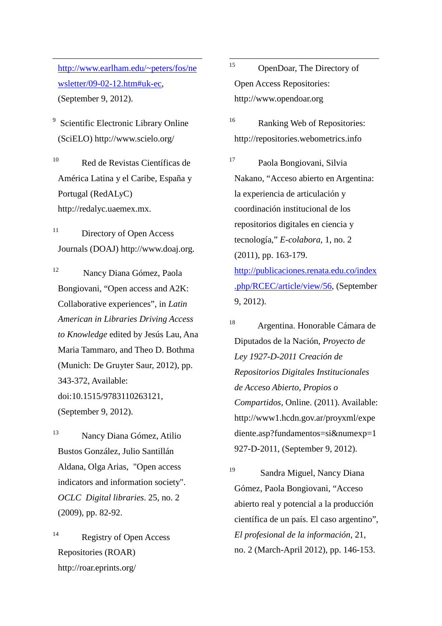http://www.earlham.edu/~peters/fos/ne wsletter/09-02-12.htm#uk-ec, (September 9, 2012).

 $\overline{a}$ 

9 Scientific Electronic Library Online (SciELO) http://www.scielo.org/

<sup>10</sup> Red de Revistas Científicas de América Latina y el Caribe, España y Portugal (RedALyC) http://redalyc.uaemex.mx.

<sup>11</sup> Directory of Open Access Journals (DOAJ) http://www.doaj.org.

<sup>12</sup> Nancy Diana Gómez, Paola Bongiovani, "Open access and A2K: Collaborative experiences", in *Latin American in Libraries Driving Access to Knowledge* edited by Jesús Lau, Ana Maria Tammaro, and Theo D. Bothma (Munich: De Gruyter Saur, 2012), pp. 343-372, Available: doi:10.1515/9783110263121, (September 9, 2012).

<sup>13</sup> Nancy Diana Gómez, Atilio Bustos González, Julio Santillán Aldana, Olga Arias, "Open access indicators and information society". *OCLC Digital libraries*. 25, no. 2 (2009), pp. 82-92.

<sup>14</sup> Registry of Open Access Repositories (ROAR) http://roar.eprints.org/

15 OpenDoar, The Directory of Open Access Repositories: http://www.opendoar.org

<sup>16</sup> Ranking Web of Repositories: http://repositories.webometrics.info

<sup>17</sup> Paola Bongiovani, Silvia Nakano, "Acceso abierto en Argentina: la experiencia de articulación y coordinación institucional de los repositorios digitales en ciencia y tecnología," *E-colabora*, 1, no. 2 (2011), pp. 163-179. http://publicaciones.renata.edu.co/index .php/RCEC/article/view/56, (September 9, 2012).

<sup>18</sup> Argentina. Honorable Cámara de Diputados de la Nación, *Proyecto de Ley 1927-D-2011 Creación de Repositorios Digitales Institucionales de Acceso Abierto, Propios o Compartidos,* Online. (2011). Available: http://www1.hcdn.gov.ar/proyxml/expe diente.asp?fundamentos=si&numexp=1 927-D-2011, (September 9, 2012).

<sup>19</sup> Sandra Miguel, Nancy Diana Gómez, Paola Bongiovani, "Acceso abierto real y potencial a la producción científica de un país. El caso argentino", *El profesional de la información,* 21, no. 2 (March-April 2012), pp. 146-153.